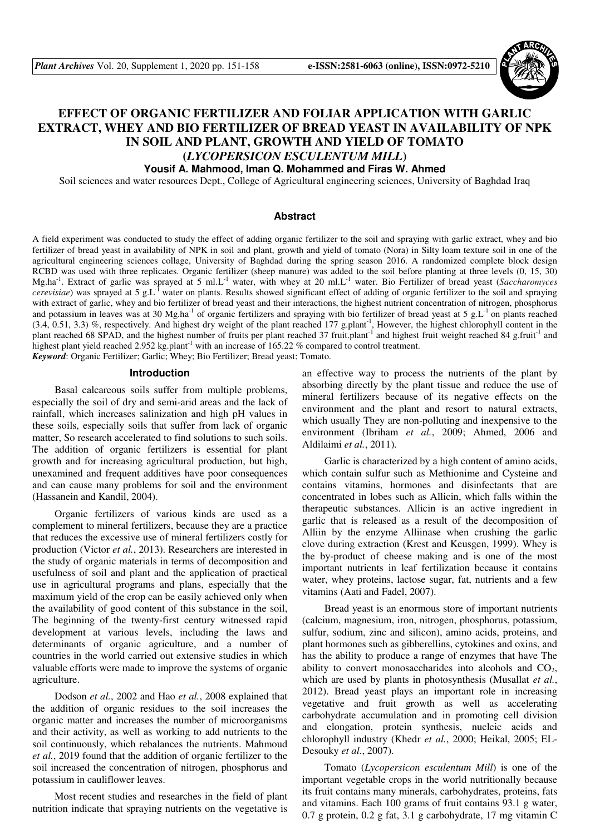

# **EFFECT OF ORGANIC FERTILIZER AND FOLIAR APPLICATION WITH GARLIC EXTRACT, WHEY AND BIO FERTILIZER OF BREAD YEAST IN AVAILABILITY OF NPK IN SOIL AND PLANT, GROWTH AND YIELD OF TOMATO (***LYCOPERSICON ESCULENTUM MILL***)**

**Yousif A. Mahmood, Iman Q. Mohammed and Firas W. Ahmed** 

Soil sciences and water resources Dept., College of Agricultural engineering sciences, University of Baghdad Iraq

#### **Abstract**

A field experiment was conducted to study the effect of adding organic fertilizer to the soil and spraying with garlic extract, whey and bio fertilizer of bread yeast in availability of NPK in soil and plant, growth and yield of tomato (Nora) in Silty loam texture soil in one of the agricultural engineering sciences collage, University of Baghdad during the spring season 2016. A randomized complete block design RCBD was used with three replicates. Organic fertilizer (sheep manure) was added to the soil before planting at three levels (0, 15, 30) Mg.ha-1. Extract of garlic was sprayed at 5 ml.L-1 water, with whey at 20 ml.L-1 water. Bio Fertilizer of bread yeast (*Saccharomyces cerevisiae*) was sprayed at 5 g.L<sup>-1</sup> water on plants. Results showed significant effect of adding of organic fertilizer to the soil and spraying with extract of garlic, whey and bio fertilizer of bread yeast and their interactions, the highest nutrient concentration of nitrogen, phosphorus and potassium in leaves was at 30 Mg.ha<sup>-1</sup> of organic fertilizers and spraying with bio fertilizer of bread yeast at 5 g.L<sup>-1</sup> on plants reached (3.4, 0.51, 3.3) %, respectively. And highest dry weight of the plant reached 177 g.plant-1, However, the highest chlorophyll content in the plant reached 68 SPAD, and the highest number of fruits per plant reached 37 fruit.plant<sup>-1</sup> and highest fruit weight reached 84 g.fruit<sup>-1</sup> and highest plant yield reached 2.952 kg.plant<sup>-1</sup> with an increase of 165.22 % compared to control treatment. *Keyword*: Organic Fertilizer; Garlic; Whey; Bio Fertilizer; Bread yeast; Tomato.

#### **Introduction**

Basal calcareous soils suffer from multiple problems, especially the soil of dry and semi-arid areas and the lack of rainfall, which increases salinization and high pH values in these soils, especially soils that suffer from lack of organic matter, So research accelerated to find solutions to such soils. The addition of organic fertilizers is essential for plant growth and for increasing agricultural production, but high, unexamined and frequent additives have poor consequences and can cause many problems for soil and the environment (Hassanein and Kandil, 2004).

Organic fertilizers of various kinds are used as a complement to mineral fertilizers, because they are a practice that reduces the excessive use of mineral fertilizers costly for production (Victor *et al.*, 2013). Researchers are interested in the study of organic materials in terms of decomposition and usefulness of soil and plant and the application of practical use in agricultural programs and plans, especially that the maximum yield of the crop can be easily achieved only when the availability of good content of this substance in the soil, The beginning of the twenty-first century witnessed rapid development at various levels, including the laws and determinants of organic agriculture, and a number of countries in the world carried out extensive studies in which valuable efforts were made to improve the systems of organic agriculture.

Dodson *et al.*, 2002 and Hao *et al.*, 2008 explained that the addition of organic residues to the soil increases the organic matter and increases the number of microorganisms and their activity, as well as working to add nutrients to the soil continuously, which rebalances the nutrients. Mahmoud *et al.*, 2019 found that the addition of organic fertilizer to the soil increased the concentration of nitrogen, phosphorus and potassium in cauliflower leaves.

Most recent studies and researches in the field of plant nutrition indicate that spraying nutrients on the vegetative is

an effective way to process the nutrients of the plant by absorbing directly by the plant tissue and reduce the use of mineral fertilizers because of its negative effects on the environment and the plant and resort to natural extracts, which usually They are non-polluting and inexpensive to the environment (Ibriham *et al.*, 2009; Ahmed, 2006 and Aldilaimi *et al.*, 2011).

Garlic is characterized by a high content of amino acids, which contain sulfur such as Methionime and Cysteine and contains vitamins, hormones and disinfectants that are concentrated in lobes such as Allicin, which falls within the therapeutic substances. Allicin is an active ingredient in garlic that is released as a result of the decomposition of Alliin by the enzyme Alliinase when crushing the garlic clove during extraction (Krest and Keusgen, 1999). Whey is the by-product of cheese making and is one of the most important nutrients in leaf fertilization because it contains water, whey proteins, lactose sugar, fat, nutrients and a few vitamins (Aati and Fadel, 2007).

Bread yeast is an enormous store of important nutrients (calcium, magnesium, iron, nitrogen, phosphorus, potassium, sulfur, sodium, zinc and silicon), amino acids, proteins, and plant hormones such as gibberellins, cytokines and oxins, and has the ability to produce a range of enzymes that have The ability to convert monosaccharides into alcohols and  $CO<sub>2</sub>$ , which are used by plants in photosynthesis (Musallat *et al.*, 2012). Bread yeast plays an important role in increasing vegetative and fruit growth as well as accelerating carbohydrate accumulation and in promoting cell division and elongation, protein synthesis, nucleic acids and chlorophyll industry (Khedr *et al.*, 2000; Heikal, 2005; EL-Desouky *et al.*, 2007).

Tomato (*Lycopersicon esculentum Mill*) is one of the important vegetable crops in the world nutritionally because its fruit contains many minerals, carbohydrates, proteins, fats and vitamins. Each 100 grams of fruit contains 93.1 g water, 0.7 g protein, 0.2 g fat, 3.1 g carbohydrate, 17 mg vitamin C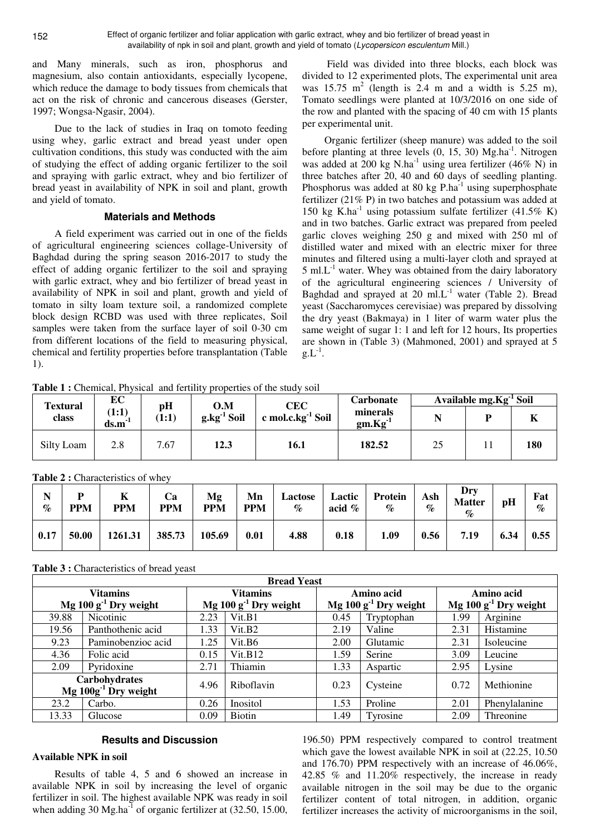and Many minerals, such as iron, phosphorus and magnesium, also contain antioxidants, especially lycopene, which reduce the damage to body tissues from chemicals that act on the risk of chronic and cancerous diseases (Gerster, 1997; Wongsa-Ngasir, 2004).

Due to the lack of studies in Iraq on tomoto feeding using whey, garlic extract and bread yeast under open cultivation conditions, this study was conducted with the aim of studying the effect of adding organic fertilizer to the soil and spraying with garlic extract, whey and bio fertilizer of bread yeast in availability of NPK in soil and plant, growth and yield of tomato.

## **Materials and Methods**

A field experiment was carried out in one of the fields of agricultural engineering sciences collage-University of Baghdad during the spring season 2016-2017 to study the effect of adding organic fertilizer to the soil and spraying with garlic extract, whey and bio fertilizer of bread yeast in availability of NPK in soil and plant, growth and yield of tomato in silty loam texture soil, a randomized complete block design RCBD was used with three replicates, Soil samples were taken from the surface layer of soil 0-30 cm from different locations of the field to measuring physical, chemical and fertility properties before transplantation (Table 1).

 Field was divided into three blocks, each block was divided to 12 experimented plots, The experimental unit area was  $15.75 \text{ m}^2$  (length is 2.4 m and a width is 5.25 m), Tomato seedlings were planted at 10/3/2016 on one side of the row and planted with the spacing of 40 cm with 15 plants per experimental unit.

Organic fertilizer (sheep manure) was added to the soil before planting at three levels  $(0, 15, 30)$  Mg.ha<sup>-1</sup>. Nitrogen was added at 200 kg N.ha<sup>-1</sup> using urea fertilizer (46% N) in three batches after 20, 40 and 60 days of seedling planting. Phosphorus was added at 80 kg  $P.ha^{-1}$  using superphosphate fertilizer (21% P) in two batches and potassium was added at 150 kg K.ha<sup>-1</sup> using potassium sulfate fertilizer  $(41.5\%$  K) and in two batches. Garlic extract was prepared from peeled garlic cloves weighing 250 g and mixed with 250 ml of distilled water and mixed with an electric mixer for three minutes and filtered using a multi-layer cloth and sprayed at  $5 \text{ mL}^{-1}$  water. Whey was obtained from the dairy laboratory of the agricultural engineering sciences / University of Baghdad and sprayed at  $20 \text{ mL}^{-1}$  water (Table 2). Bread yeast (Saccharomyces cerevisiae) was prepared by dissolving the dry yeast (Bakmaya) in 1 liter of warm water plus the same weight of sugar 1: 1 and left for 12 hours, Its properties are shown in (Table 3) (Mahmoned, 2001) and sprayed at 5  $g.L^{-1}.$ 

**Table 1 :** Chemical, Physical and fertility properties of the study soil

| <b>Textural</b>   | EC                   | pH    | O.M              | <b>CEC</b>              | Carbonate             |    | Available mg.Kg <sup>-1</sup> Soil |     |
|-------------------|----------------------|-------|------------------|-------------------------|-----------------------|----|------------------------------------|-----|
| class             | (1:1)<br>$ds.m^{-1}$ | (1:1) | $g.kg^{-1}$ Soil | c mol.c. $kg^{-1}$ Soil | minerals<br>$gm.Kg-1$ |    |                                    | 17  |
| <b>Silty Loam</b> | 2.8                  | 7.67  | 12.3             | 16.1                    | 182.52                | 25 |                                    | 180 |

**Table 2 :** Characteristics of whey

| N<br>$\%$ | <b>PPM</b> | K<br><b>PPM</b>      | Ca<br><b>PPM</b> | $\mathbf{Mg}$<br><b>PPM</b> | Mn<br><b>PPM</b> | Lactose   Lactic   Protein<br>$\%$ | acid $\%$ | $\%$ | Ash<br>$\%$ | Drv<br><b>Matter</b><br>$\%$ | pH   | Fat<br>$\%$ |
|-----------|------------|----------------------|------------------|-----------------------------|------------------|------------------------------------|-----------|------|-------------|------------------------------|------|-------------|
| 0.17      | 50.00      | $1261.31$   $385.73$ |                  | 105.69                      | 0.01             | 4.88                               | 0.18      | 1.09 | $0.56$      | 7.19                         | 6.34 | 0.55        |

**Table 3 :** Characteristics of bread yeast

|                         |                                            |                         | <b>Bread Yeast</b> |                         |            |                         |               |  |
|-------------------------|--------------------------------------------|-------------------------|--------------------|-------------------------|------------|-------------------------|---------------|--|
|                         | <b>Vitamins</b>                            | <b>Vitamins</b>         |                    | Amino acid              |            |                         | Amino acid    |  |
| $Mg 100 g-1$ Dry weight |                                            | $Mg 100 g-1$ Dry weight |                    | $Mg 100 g-1$ Dry weight |            | $Mg 100 g-1$ Dry weight |               |  |
| 39.88                   | Nicotinic                                  | 2.23                    | Vit.B1             | 0.45                    | Tryptophan | 1.99                    | Arginine      |  |
| 19.56                   | Panthothenic acid                          | 1.33                    | Vit.B2             | 2.19                    | Valine     | 2.31                    | Histamine     |  |
| 9.23                    | Paminobenzioc acid                         | 1.25                    | Vit.B6             | 2.00                    | Glutamic   | 2.31                    | Isoleucine    |  |
| 4.36                    | Folic acid                                 | 0.15                    | $V$ it. $B12$      | 1.59                    | Serine     | 3.09                    | Leucine       |  |
| 2.09                    | Pyridoxine                                 | 2.71                    | Thiamin            | 1.33                    | Aspartic   | 2.95                    | Lysine        |  |
|                         | Carbohydrates<br>$Mg 100g^{-1}$ Dry weight | 4.96                    | Riboflavin         | 0.23                    | Cysteine   | 0.72                    | Methionine    |  |
| 23.2                    | Carbo.                                     | 0.26                    | Inositol           | 1.53                    | Proline    | 2.01                    | Phenylalanine |  |
| 13.33                   | Glucose                                    | 0.09                    | <b>Biotin</b>      | 1.49                    | Tyrosine   | 2.09                    | Threonine     |  |

# **Results and Discussion**

### **Available NPK in soil**

Results of table 4, 5 and 6 showed an increase in available NPK in soil by increasing the level of organic fertilizer in soil. The highest available NPK was ready in soil when adding  $30 \text{ Mg.ha}^{-1}$  of organic fertilizer at  $(32.50, 15.00,$  196.50) PPM respectively compared to control treatment which gave the lowest available NPK in soil at (22.25, 10.50 and 176.70) PPM respectively with an increase of 46.06%, 42.85 % and 11.20% respectively, the increase in ready available nitrogen in the soil may be due to the organic fertilizer content of total nitrogen, in addition, organic fertilizer increases the activity of microorganisms in the soil,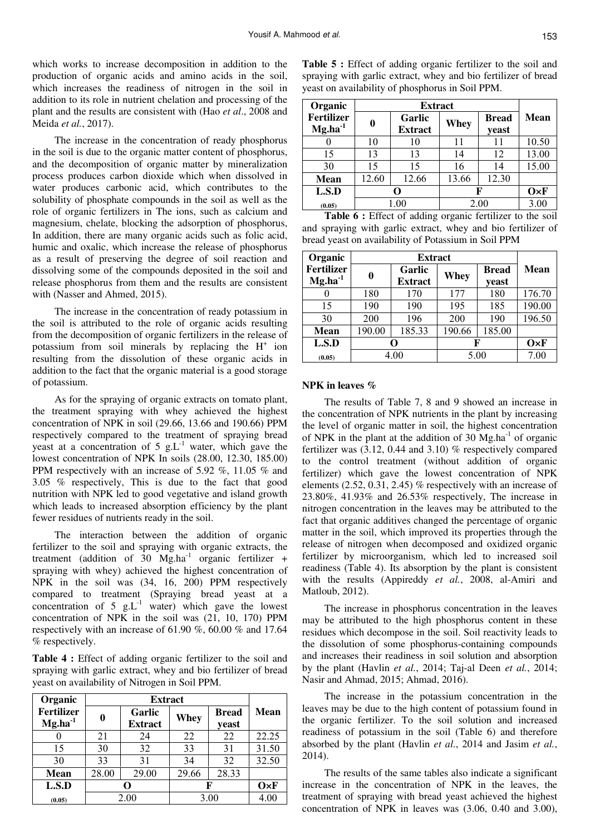which works to increase decomposition in addition to the production of organic acids and amino acids in the soil, which increases the readiness of nitrogen in the soil in addition to its role in nutrient chelation and processing of the plant and the results are consistent with (Hao *et al*., 2008 and Meida *et al.*, 2017).

The increase in the concentration of ready phosphorus in the soil is due to the organic matter content of phosphorus, and the decomposition of organic matter by mineralization process produces carbon dioxide which when dissolved in water produces carbonic acid, which contributes to the solubility of phosphate compounds in the soil as well as the role of organic fertilizers in The ions, such as calcium and magnesium, chelate, blocking the adsorption of phosphorus, In addition, there are many organic acids such as folic acid, humic and oxalic, which increase the release of phosphorus as a result of preserving the degree of soil reaction and dissolving some of the compounds deposited in the soil and release phosphorus from them and the results are consistent with (Nasser and Ahmed, 2015).

The increase in the concentration of ready potassium in the soil is attributed to the role of organic acids resulting from the decomposition of organic fertilizers in the release of potassium from soil minerals by replacing the H<sup>+</sup> ion resulting from the dissolution of these organic acids in addition to the fact that the organic material is a good storage of potassium.

As for the spraying of organic extracts on tomato plant, the treatment spraying with whey achieved the highest concentration of NPK in soil (29.66, 13.66 and 190.66) PPM respectively compared to the treatment of spraying bread yeast at a concentration of 5 g.L<sup>-1</sup> water, which gave the lowest concentration of NPK In soils (28.00, 12.30, 185.00) PPM respectively with an increase of 5.92 %, 11.05 % and 3.05 % respectively, This is due to the fact that good nutrition with NPK led to good vegetative and island growth which leads to increased absorption efficiency by the plant fewer residues of nutrients ready in the soil.

The interaction between the addition of organic fertilizer to the soil and spraying with organic extracts, the treatment (addition of 30  $Mg.ha^{-1}$  organic fertilizer + spraying with whey) achieved the highest concentration of NPK in the soil was (34, 16, 200) PPM respectively compared to treatment (Spraying bread yeast at a concentration of 5 g.L<sup>-1</sup> water) which gave the lowest concentration of NPK in the soil was (21, 10, 170) PPM respectively with an increase of 61.90 %, 60.00 % and 17.64 % respectively.

**Table 4 :** Effect of adding organic fertilizer to the soil and spraying with garlic extract, whey and bio fertilizer of bread yeast on availability of Nitrogen in Soil PPM.

| Organic                           |       | <b>Extract</b>           |             |                       |              |  |  |
|-----------------------------------|-------|--------------------------|-------------|-----------------------|--------------|--|--|
| <b>Fertilizer</b><br>$Mg.ha^{-1}$ | 0     | Garlic<br><b>Extract</b> | <b>Whey</b> | <b>Bread</b><br>yeast | <b>Mean</b>  |  |  |
|                                   | 21    | 24                       | 22          | 22                    | 22.25        |  |  |
| 15                                | 30    | 32                       | 33          | 31                    | 31.50        |  |  |
| 30                                | 33    | 31                       | 34          | 32                    | 32.50        |  |  |
| <b>Mean</b>                       | 28.00 | 29.00                    | 29.66       | 28.33                 |              |  |  |
| L.S.D                             | O     |                          | F           |                       | $O \times F$ |  |  |
| (0.05)                            |       | 2.00                     |             | 3.00                  |              |  |  |

| <b>Table 5:</b> Effect of adding organic fertilizer to the soil and |
|---------------------------------------------------------------------|
| spraying with garlic extract, whey and bio fertilizer of bread      |
| yeast on availability of phosphorus in Soil PPM.                    |

| Organic                           |       | <b>Extract</b>           |       |                       |             |  |  |
|-----------------------------------|-------|--------------------------|-------|-----------------------|-------------|--|--|
| <b>Fertilizer</b><br>$Mg.ha^{-1}$ | 0     | Garlic<br><b>Extract</b> | Whey  | <b>Bread</b><br>yeast | <b>Mean</b> |  |  |
|                                   | 10    | 10                       | 11    |                       | 10.50       |  |  |
| 15                                | 13    | 13                       | 14    | 12                    | 13.00       |  |  |
| 30                                | 15    | 15                       | 16    | 14                    | 15.00       |  |  |
| <b>Mean</b>                       | 12.60 | 12.66                    | 13.66 | 12.30                 |             |  |  |
| L.S.D                             | F     |                          |       | $O \times F$          |             |  |  |
| (0.05)                            | 1.00  |                          |       | 2.00                  | 3.00        |  |  |

**Table 6 :** Effect of adding organic fertilizer to the soil and spraying with garlic extract, whey and bio fertilizer of bread yeast on availability of Potassium in Soil PPM

| Organic                           |        |                          |        |                       |              |
|-----------------------------------|--------|--------------------------|--------|-----------------------|--------------|
| <b>Fertilizer</b><br>$Mg.ha^{-1}$ | 0      | Garlic<br><b>Extract</b> | Whey   | <b>Bread</b><br>yeast | <b>Mean</b>  |
|                                   | 180    | 170                      | 177    | 180                   | 176.70       |
| 15                                | 190    | 190                      | 195    | 185                   | 190.00       |
| 30                                | 200    | 196                      | 200    | 190                   | 196.50       |
| <b>Mean</b>                       | 190.00 | 185.33                   | 190.66 | 185.00                |              |
| L.S.D                             | റ      |                          | F      |                       | $O \times F$ |
| (0.05)                            | 4.00   |                          | 5.00   |                       | 7.00         |

### **NPK in leaves %**

The results of Table 7, 8 and 9 showed an increase in the concentration of NPK nutrients in the plant by increasing the level of organic matter in soil, the highest concentration of NPK in the plant at the addition of 30  $Mg$ .ha<sup>-1</sup> of organic fertilizer was (3.12, 0.44 and 3.10) % respectively compared to the control treatment (without addition of organic fertilizer) which gave the lowest concentration of NPK elements (2.52, 0.31, 2.45) % respectively with an increase of 23.80%, 41.93% and 26.53% respectively, The increase in nitrogen concentration in the leaves may be attributed to the fact that organic additives changed the percentage of organic matter in the soil, which improved its properties through the release of nitrogen when decomposed and oxidized organic fertilizer by microorganism, which led to increased soil readiness (Table 4). Its absorption by the plant is consistent with the results (Appireddy *et al.*, 2008, al-Amiri and Matloub, 2012).

The increase in phosphorus concentration in the leaves may be attributed to the high phosphorus content in these residues which decompose in the soil. Soil reactivity leads to the dissolution of some phosphorus-containing compounds and increases their readiness in soil solution and absorption by the plant (Havlin *et al.*, 2014; Taj-al Deen *et al.*, 2014; Nasir and Ahmad, 2015; Ahmad, 2016).

The increase in the potassium concentration in the leaves may be due to the high content of potassium found in the organic fertilizer. To the soil solution and increased readiness of potassium in the soil (Table 6) and therefore absorbed by the plant (Havlin *et al.*, 2014 and Jasim *et al.*, 2014).

The results of the same tables also indicate a significant increase in the concentration of NPK in the leaves, the treatment of spraying with bread yeast achieved the highest concentration of NPK in leaves was (3.06, 0.40 and 3.00),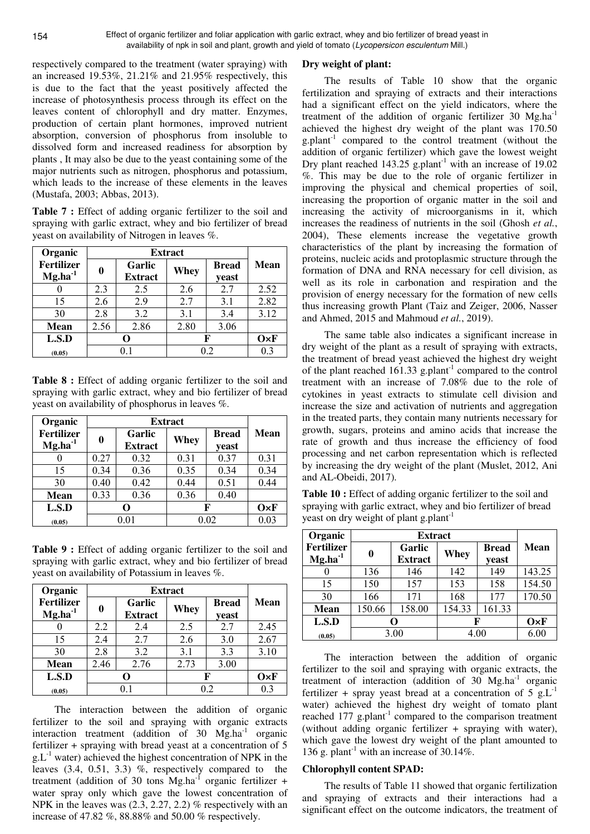respectively compared to the treatment (water spraying) with an increased 19.53%, 21.21% and 21.95% respectively, this is due to the fact that the yeast positively affected the increase of photosynthesis process through its effect on the leaves content of chlorophyll and dry matter. Enzymes, production of certain plant hormones, improved nutrient absorption, conversion of phosphorus from insoluble to dissolved form and increased readiness for absorption by plants , It may also be due to the yeast containing some of the major nutrients such as nitrogen, phosphorus and potassium, which leads to the increase of these elements in the leaves (Mustafa, 2003; Abbas, 2013).

**Table 7 :** Effect of adding organic fertilizer to the soil and spraying with garlic extract, whey and bio fertilizer of bread yeast on availability of Nitrogen in leaves %.

| Organic                           |      | <b>Extract</b>           |      |                       |              |  |  |
|-----------------------------------|------|--------------------------|------|-----------------------|--------------|--|--|
| <b>Fertilizer</b><br>$Mg.ha^{-1}$ | 0    | Garlic<br><b>Extract</b> | Whey | <b>Bread</b><br>yeast | <b>Mean</b>  |  |  |
|                                   | 2.3  | 2.5                      | 2.6  | 2.7                   | 2.52         |  |  |
| 15                                | 2.6  | 2.9                      | 2.7  | 3.1                   | 2.82         |  |  |
| 30                                | 2.8  | 3.2                      | 3.1  | 3.4                   | 3.12         |  |  |
| <b>Mean</b>                       | 2.56 | 2.86                     | 2.80 | 3.06                  |              |  |  |
| L.S.D                             |      |                          |      | F                     | $O \times F$ |  |  |
| (0.05)                            |      | 01                       |      | 0.2                   |              |  |  |

**Table 8 :** Effect of adding organic fertilizer to the soil and spraying with garlic extract, whey and bio fertilizer of bread yeast on availability of phosphorus in leaves %.

| Organic           |      |                |      |              |              |
|-------------------|------|----------------|------|--------------|--------------|
| <b>Fertilizer</b> | 0    | Garlic         | Whey | <b>Bread</b> | <b>Mean</b>  |
| $Mg, ha^{-1}$     |      | <b>Extract</b> |      | yeast        |              |
|                   | 0.27 | 0.32           | 0.31 | 0.37         | 0.31         |
| 15                | 0.34 | 0.36           | 0.35 | 0.34         | 0.34         |
| 30                | 0.40 | 0.42           | 0.44 | 0.51         | 0.44         |
| <b>Mean</b>       | 0.33 | 0.36           | 0.36 | 0.40         |              |
| L.S.D             |      |                |      | F            | $O \times F$ |
| (0.05)            | 0.01 |                | 0.02 |              | 0.03         |

**Table 9 :** Effect of adding organic fertilizer to the soil and spraying with garlic extract, whey and bio fertilizer of bread yeast on availability of Potassium in leaves %.

| Organic                            |      |                                 |      |                       |              |  |
|------------------------------------|------|---------------------------------|------|-----------------------|--------------|--|
| <b>Fertilizer</b><br>$Mg, ha^{-1}$ | 0    | <b>Garlic</b><br><b>Extract</b> | Whey | <b>Bread</b><br>yeast | <b>Mean</b>  |  |
|                                    | 2.2  | 2.4                             | 2.5  | 2.7                   | 2.45         |  |
| 15                                 | 2.4  | 2.7                             | 2.6  | 3.0                   | 2.67         |  |
| 30                                 | 2.8  | 3.2                             | 3.1  | 3.3                   | 3.10         |  |
| <b>Mean</b>                        | 2.46 | 2.76                            | 2.73 | 3.00                  |              |  |
| L.S.D                              |      |                                 |      | F                     | $O \times F$ |  |
| (0.05)                             |      | 01                              |      | 0.2                   |              |  |

The interaction between the addition of organic fertilizer to the soil and spraying with organic extracts interaction treatment (addition of  $30 \text{ Mg.ha}^{-1}$  organic fertilizer + spraying with bread yeast at a concentration of 5  $g.L^{-1}$  water) achieved the highest concentration of NPK in the leaves (3.4, 0.51, 3.3) %, respectively compared to the treatment (addition of 30 tons  $Mg, ha^{-1}$  organic fertilizer + water spray only which gave the lowest concentration of NPK in the leaves was  $(2.3, 2.27, 2.2)$  % respectively with an increase of 47.82 %, 88.88% and 50.00 % respectively.

# **Dry weight of plant:**

The results of Table 10 show that the organic fertilization and spraying of extracts and their interactions had a significant effect on the yield indicators, where the treatment of the addition of organic fertilizer 30 Mg.ha<sup>-1</sup> achieved the highest dry weight of the plant was 170.50  $g$ .plant<sup>-1</sup> compared to the control treatment (without the addition of organic fertilizer) which gave the lowest weight Dry plant reached  $143.25$  g.plant<sup>-1</sup> with an increase of  $19.02$ %. This may be due to the role of organic fertilizer in improving the physical and chemical properties of soil, increasing the proportion of organic matter in the soil and increasing the activity of microorganisms in it, which increases the readiness of nutrients in the soil (Ghosh *et al.*, 2004), These elements increase the vegetative growth characteristics of the plant by increasing the formation of proteins, nucleic acids and protoplasmic structure through the formation of DNA and RNA necessary for cell division, as well as its role in carbonation and respiration and the provision of energy necessary for the formation of new cells thus increasing growth Plant (Taiz and Zeiger, 2006, Nasser and Ahmed, 2015 and Mahmoud *et al.*, 2019).

The same table also indicates a significant increase in dry weight of the plant as a result of spraying with extracts, the treatment of bread yeast achieved the highest dry weight of the plant reached  $161.33$  g.plant<sup>-1</sup> compared to the control treatment with an increase of 7.08% due to the role of cytokines in yeast extracts to stimulate cell division and increase the size and activation of nutrients and aggregation in the treated parts, they contain many nutrients necessary for growth, sugars, proteins and amino acids that increase the rate of growth and thus increase the efficiency of food processing and net carbon representation which is reflected by increasing the dry weight of the plant (Muslet, 2012, Ani and AL-Obeidi, 2017).

Table 10 : Effect of adding organic fertilizer to the soil and spraying with garlic extract, whey and bio fertilizer of bread yeast on dry weight of plant g.plant<sup>-1</sup>

| Organic           |        |                |        |              |              |
|-------------------|--------|----------------|--------|--------------|--------------|
| <b>Fertilizer</b> | 0      | Garlic         | Whey   | <b>Bread</b> | Mean         |
| $Mg.ha^{-1}$      |        | <b>Extract</b> |        | yeast        |              |
|                   | 136    | 146            | 142    | 149          | 143.25       |
| 15                | 150    | 157            | 153    | 158          | 154.50       |
| 30                | 166    | 171            | 168    | 177          | 170.50       |
| <b>Mean</b>       | 150.66 | 158.00         | 154.33 | 161.33       |              |
| L.S.D             | 0      |                | F      |              | $O \times F$ |
| (0.05)            | 3.00   |                | 4.00   |              | 6.00         |

The interaction between the addition of organic fertilizer to the soil and spraying with organic extracts, the treatment of interaction (addition of 30  $Mg.ha^{-1}$  organic fertilizer + spray yeast bread at a concentration of 5 g. $L^{-1}$ water) achieved the highest dry weight of tomato plant reached  $177$  g.plant<sup>-1</sup> compared to the comparison treatment (without adding organic fertilizer + spraying with water), which gave the lowest dry weight of the plant amounted to 136 g. plant<sup>-1</sup> with an increase of 30.14%.

# **Chlorophyll content SPAD:**

The results of Table 11 showed that organic fertilization and spraying of extracts and their interactions had a significant effect on the outcome indicators, the treatment of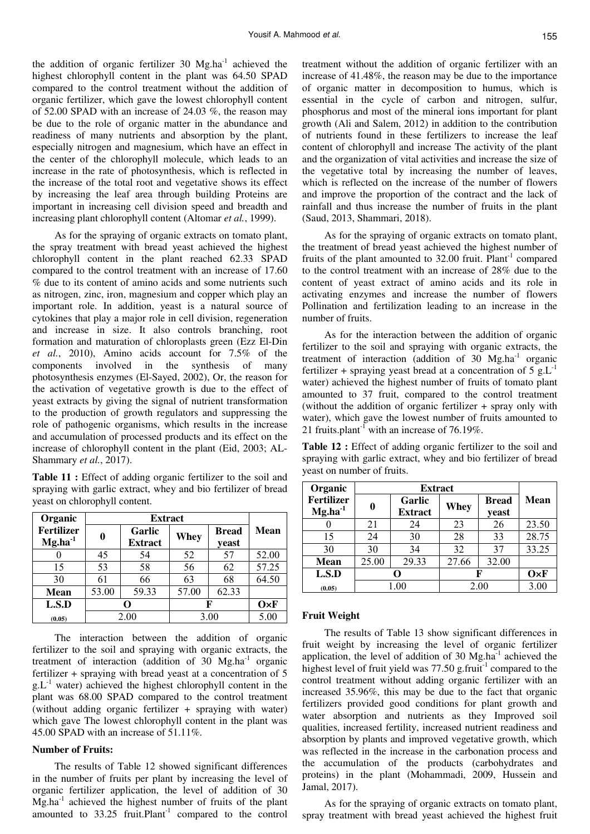the addition of organic fertilizer 30  $Mg$ , ha<sup>-1</sup> achieved the highest chlorophyll content in the plant was 64.50 SPAD compared to the control treatment without the addition of organic fertilizer, which gave the lowest chlorophyll content of 52.00 SPAD with an increase of 24.03 %, the reason may be due to the role of organic matter in the abundance and readiness of many nutrients and absorption by the plant, especially nitrogen and magnesium, which have an effect in the center of the chlorophyll molecule, which leads to an increase in the rate of photosynthesis, which is reflected in the increase of the total root and vegetative shows its effect by increasing the leaf area through building Proteins are important in increasing cell division speed and breadth and increasing plant chlorophyll content (Altomar *et al.*, 1999).

As for the spraying of organic extracts on tomato plant, the spray treatment with bread yeast achieved the highest chlorophyll content in the plant reached 62.33 SPAD compared to the control treatment with an increase of 17.60 % due to its content of amino acids and some nutrients such as nitrogen, zinc, iron, magnesium and copper which play an important role. In addition, yeast is a natural source of cytokines that play a major role in cell division, regeneration and increase in size. It also controls branching, root formation and maturation of chloroplasts green (Ezz El-Din *et al.*, 2010), Amino acids account for 7.5% of the components involved in the synthesis of many photosynthesis enzymes (El-Sayed, 2002), Or, the reason for the activation of vegetative growth is due to the effect of yeast extracts by giving the signal of nutrient transformation to the production of growth regulators and suppressing the role of pathogenic organisms, which results in the increase and accumulation of processed products and its effect on the increase of chlorophyll content in the plant (Eid, 2003; AL-Shammary *et al.*, 2017).

| <b>Table 11 :</b> Effect of adding organic fertilizer to the soil and |
|-----------------------------------------------------------------------|
| spraying with garlic extract, whey and bio fertilizer of bread        |
| yeast on chlorophyll content.                                         |

| Organic                            | <b>Extract</b> |                          |       |                       |              |
|------------------------------------|----------------|--------------------------|-------|-----------------------|--------------|
| <b>Fertilizer</b><br>$Mg, ha^{-1}$ | 0              | Garlic<br><b>Extract</b> | Whey  | <b>Bread</b><br>yeast | <b>Mean</b>  |
|                                    | 45             | 54                       | 52    | 57                    | 52.00        |
| 15                                 | 53             | 58                       | 56    | 62                    | 57.25        |
| 30                                 | 61             | 66                       | 63    | 68                    | 64.50        |
| <b>Mean</b>                        | 53.00          | 59.33                    | 57.00 | 62.33                 |              |
| L.S.D                              |                |                          | F     |                       | $O \times F$ |
| (0.05)                             | 2.00           |                          | 3.00  |                       | 5.00         |

The interaction between the addition of organic fertilizer to the soil and spraying with organic extracts, the treatment of interaction (addition of  $30$  Mg.ha<sup>-1</sup> organic fertilizer + spraying with bread yeast at a concentration of 5  $g_{\rm L}$ <sup>-1</sup> water) achieved the highest chlorophyll content in the plant was 68.00 SPAD compared to the control treatment (without adding organic fertilizer + spraying with water) which gave The lowest chlorophyll content in the plant was 45.00 SPAD with an increase of 51.11%.

### **Number of Fruits:**

The results of Table 12 showed significant differences in the number of fruits per plant by increasing the level of organic fertilizer application, the level of addition of 30  $Mg<sub>1</sub>$  achieved the highest number of fruits of the plant amounted to  $33.25$  fruit. Plant<sup>-1</sup> compared to the control treatment without the addition of organic fertilizer with an increase of 41.48%, the reason may be due to the importance of organic matter in decomposition to humus, which is essential in the cycle of carbon and nitrogen, sulfur, phosphorus and most of the mineral ions important for plant growth (Ali and Salem, 2012) in addition to the contribution of nutrients found in these fertilizers to increase the leaf content of chlorophyll and increase The activity of the plant and the organization of vital activities and increase the size of the vegetative total by increasing the number of leaves, which is reflected on the increase of the number of flowers and improve the proportion of the contract and the lack of rainfall and thus increase the number of fruits in the plant (Saud, 2013, Shammari, 2018).

As for the spraying of organic extracts on tomato plant, the treatment of bread yeast achieved the highest number of fruits of the plant amounted to  $32.00$  fruit. Plant<sup>-1</sup> compared to the control treatment with an increase of 28% due to the content of yeast extract of amino acids and its role in activating enzymes and increase the number of flowers Pollination and fertilization leading to an increase in the number of fruits.

As for the interaction between the addition of organic fertilizer to the soil and spraying with organic extracts, the treatment of interaction (addition of  $30$  Mg.ha<sup>-1</sup> organic fertilizer + spraying yeast bread at a concentration of 5 g. $L^{-1}$ water) achieved the highest number of fruits of tomato plant amounted to 37 fruit, compared to the control treatment (without the addition of organic fertilizer + spray only with water), which gave the lowest number of fruits amounted to 21 fruits.plant<sup>-1</sup> with an increase of 76.19%.

**Table 12 :** Effect of adding organic fertilizer to the soil and spraying with garlic extract, whey and bio fertilizer of bread yeast on number of fruits.

| Organic                            |       | <b>Extract</b>           |       |                       |              |
|------------------------------------|-------|--------------------------|-------|-----------------------|--------------|
| <b>Fertilizer</b><br>$Mg, ha^{-1}$ | 0     | Garlic<br><b>Extract</b> | Whey  | <b>Bread</b><br>yeast | <b>Mean</b>  |
|                                    | 21    | 24                       | 23    | 26                    | 23.50        |
| 15                                 | 24    | 30                       | 28    | 33                    | 28.75        |
| 30                                 | 30    | 34                       | 32    | 37                    | 33.25        |
| <b>Mean</b>                        | 25.00 | 29.33                    | 27.66 | 32.00                 |              |
| L.S.D                              |       |                          | F     |                       | $O \times F$ |
| (0.05)                             | 1.00  |                          | 2.00  |                       | 3.00         |

#### **Fruit Weight**

The results of Table 13 show significant differences in fruit weight by increasing the level of organic fertilizer application, the level of addition of 30  $Mg.ha^{-1}$  achieved the highest level of fruit yield was 77.50 g.fruit<sup>-1</sup> compared to the control treatment without adding organic fertilizer with an increased 35.96%, this may be due to the fact that organic fertilizers provided good conditions for plant growth and water absorption and nutrients as they Improved soil qualities, increased fertility, increased nutrient readiness and absorption by plants and improved vegetative growth, which was reflected in the increase in the carbonation process and the accumulation of the products (carbohydrates and proteins) in the plant (Mohammadi, 2009, Hussein and Jamal, 2017).

As for the spraying of organic extracts on tomato plant, spray treatment with bread yeast achieved the highest fruit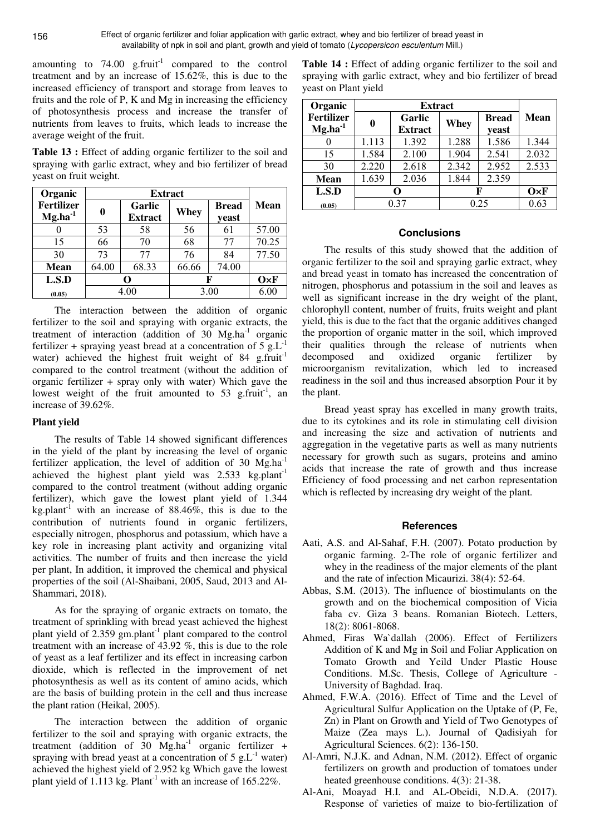amounting to  $74.00 \text{ g.fruit}^{-1}$  compared to the control treatment and by an increase of 15.62%, this is due to the increased efficiency of transport and storage from leaves to fruits and the role of P, K and Mg in increasing the efficiency of photosynthesis process and increase the transfer of nutrients from leaves to fruits, which leads to increase the average weight of the fruit.

**Table 13 :** Effect of adding organic fertilizer to the soil and spraying with garlic extract, whey and bio fertilizer of bread yeast on fruit weight.

| Organic                           | <b>Extract</b> |                          |       |                       |              |
|-----------------------------------|----------------|--------------------------|-------|-----------------------|--------------|
| <b>Fertilizer</b><br>$Mg.ha^{-1}$ | 0              | Garlic<br><b>Extract</b> | Whey  | <b>Bread</b><br>yeast | <b>Mean</b>  |
|                                   | 53             | 58                       | 56    | 61                    | 57.00        |
| 15                                | 66             | 70                       | 68    | 77                    | 70.25        |
| 30                                | 73             | 77                       | 76    | 84                    | 77.50        |
| <b>Mean</b>                       | 64.00          | 68.33                    | 66.66 | 74.00                 |              |
| L.S.D                             |                |                          | F     |                       | $O \times F$ |
| (0.05)                            | 4.00           |                          | 3.00  |                       | 6.00         |

The interaction between the addition of organic fertilizer to the soil and spraying with organic extracts, the treatment of interaction (addition of 30 Mg.ha<sup>-1</sup> organic fertilizer + spraying yeast bread at a concentration of  $5 \text{ g.L.}$ water) achieved the highest fruit weight of 84 g.fruit<sup>-1</sup> compared to the control treatment (without the addition of organic fertilizer + spray only with water) Which gave the lowest weight of the fruit amounted to 53 g.fruit<sup>-1</sup>, an increase of 39.62%.

## **Plant yield**

The results of Table 14 showed significant differences in the yield of the plant by increasing the level of organic fertilizer application, the level of addition of 30  $Mg, ha^{-1}$ achieved the highest plant yield was  $2.533 \text{ kg.} \text{plant}^{-1}$ compared to the control treatment (without adding organic fertilizer), which gave the lowest plant yield of 1.344 kg.plant<sup>-1</sup> with an increase of 88.46%, this is due to the contribution of nutrients found in organic fertilizers, especially nitrogen, phosphorus and potassium, which have a key role in increasing plant activity and organizing vital activities. The number of fruits and then increase the yield per plant, In addition, it improved the chemical and physical properties of the soil (Al-Shaibani, 2005, Saud, 2013 and Al-Shammari, 2018).

As for the spraying of organic extracts on tomato, the treatment of sprinkling with bread yeast achieved the highest plant yield of  $2.359$  gm.plant<sup>-1</sup> plant compared to the control treatment with an increase of 43.92 %, this is due to the role of yeast as a leaf fertilizer and its effect in increasing carbon dioxide, which is reflected in the improvement of net photosynthesis as well as its content of amino acids, which are the basis of building protein in the cell and thus increase the plant ration (Heikal, 2005).

The interaction between the addition of organic fertilizer to the soil and spraying with organic extracts, the treatment (addition of  $30$  Mg.ha<sup>-1</sup> organic fertilizer + spraying with bread yeast at a concentration of  $5 \text{ g.L}^{-1}$  water) achieved the highest yield of 2.952 kg Which gave the lowest plant yield of 1.113 kg. Plant<sup>-1</sup> with an increase of  $165.22\%$ .

Table 14 : Effect of adding organic fertilizer to the soil and spraying with garlic extract, whey and bio fertilizer of bread yeast on Plant yield

| Organic                           |       | <b>Extract</b> |             |              |              |
|-----------------------------------|-------|----------------|-------------|--------------|--------------|
| <b>Fertilizer</b><br>$Mg.ha^{-1}$ | 0     | Garlic         | <b>Whey</b> | <b>Bread</b> | Mean         |
|                                   |       | <b>Extract</b> |             | yeast        |              |
|                                   | 1.113 | 1.392          | 1.288       | 1.586        | 1.344        |
| 15                                | 1.584 | 2.100          | 1.904       | 2.541        | 2.032        |
| 30                                | 2.220 | 2.618          | 2.342       | 2.952        | 2.533        |
| <b>Mean</b>                       | 1.639 | 2.036          | 1.844       | 2.359        |              |
| L.S.D                             |       |                |             |              | $O \times F$ |
| (0.05)                            | 0.37  |                | 0.25        |              | 0.63         |

# **Conclusions**

The results of this study showed that the addition of organic fertilizer to the soil and spraying garlic extract, whey and bread yeast in tomato has increased the concentration of nitrogen, phosphorus and potassium in the soil and leaves as well as significant increase in the dry weight of the plant, chlorophyll content, number of fruits, fruits weight and plant yield, this is due to the fact that the organic additives changed the proportion of organic matter in the soil, which improved their qualities through the release of nutrients when decomposed and oxidized organic fertilizer by microorganism revitalization, which led to increased readiness in the soil and thus increased absorption Pour it by the plant.

Bread yeast spray has excelled in many growth traits, due to its cytokines and its role in stimulating cell division and increasing the size and activation of nutrients and aggregation in the vegetative parts as well as many nutrients necessary for growth such as sugars, proteins and amino acids that increase the rate of growth and thus increase Efficiency of food processing and net carbon representation which is reflected by increasing dry weight of the plant.

## **References**

- Aati, A.S. and Al-Sahaf, F.H. (2007). Potato production by organic farming. 2-The role of organic fertilizer and whey in the readiness of the major elements of the plant and the rate of infection Micaurizi. 38(4): 52-64.
- Abbas, S.M. (2013). The influence of biostimulants on the growth and on the biochemical composition of Vicia faba cv. Giza 3 beans. Romanian Biotech. Letters, 18(2): 8061-8068.
- Ahmed, Firas Wa`dallah (2006). Effect of Fertilizers Addition of K and Mg in Soil and Foliar Application on Tomato Growth and Yeild Under Plastic House Conditions. M.Sc. Thesis, College of Agriculture - University of Baghdad. Iraq.
- Ahmed, F.W.A. (2016). Effect of Time and the Level of Agricultural Sulfur Application on the Uptake of (P, Fe, Zn) in Plant on Growth and Yield of Two Genotypes of Maize (Zea mays L.). Journal of Qadisiyah for Agricultural Sciences. 6(2): 136-150.
- Al-Amri, N.J.K. and Adnan, N.M. (2012). Effect of organic fertilizers on growth and production of tomatoes under heated greenhouse conditions. 4(3): 21-38.
- Al-Ani, Moayad H.I. and AL-Obeidi, N.D.A. (2017). Response of varieties of maize to bio-fertilization of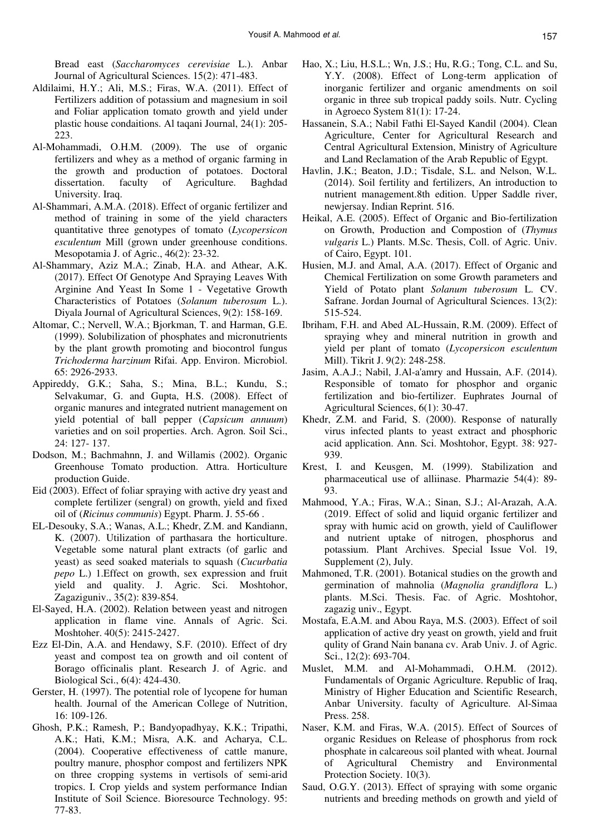Bread east (*Saccharomyces cerevisiae* L.). Anbar Journal of Agricultural Sciences. 15(2): 471-483.

- Aldilaimi, H.Y.; Ali, M.S.; Firas, W.A. (2011). Effect of Fertilizers addition of potassium and magnesium in soil and Foliar application tomato growth and yield under plastic house condaitions. Al taqani Journal, 24(1): 205- 223.
- Al-Mohammadi, O.H.M. (2009). The use of organic fertilizers and whey as a method of organic farming in the growth and production of potatoes. Doctoral dissertation. faculty of Agriculture. Baghdad University. Iraq.
- Al-Shammari, A.M.A. (2018). Effect of organic fertilizer and method of training in some of the yield characters quantitative three genotypes of tomato (*Lycopersicon esculentum* Mill (grown under greenhouse conditions. Mesopotamia J. of Agric., 46(2): 23-32.
- Al-Shammary, Aziz M.A.; Zinab, H.A. and Athear, A.K. (2017). Effect Of Genotype And Spraying Leaves With Arginine And Yeast In Some 1 - Vegetative Growth Characteristics of Potatoes (*Solanum tuberosum* L.). Diyala Journal of Agricultural Sciences, 9(2): 158-169.
- Altomar, C.; Nervell, W.A.; Bjorkman, T. and Harman, G.E. (1999). Solubilization of phosphates and micronutrients by the plant growth promoting and biocontrol fungus *Trichoderma harzinum* Rifai. App. Environ. Microbiol. 65: 2926-2933.
- Appireddy, G.K.; Saha, S.; Mina, B.L.; Kundu, S.; Selvakumar, G. and Gupta, H.S. (2008). Effect of organic manures and integrated nutrient management on yield potential of ball pepper (*Capsicum annuum*) varieties and on soil properties. Arch. Agron. Soil Sci., 24: 127- 137.
- Dodson, M.; Bachmahnn, J. and Willamis (2002). Organic Greenhouse Tomato production. Attra. Horticulture production Guide.
- Eid (2003). Effect of foliar spraying with active dry yeast and complete fertilizer (sengral) on growth, yield and fixed oil of (*Ricinus communis*) Egypt. Pharm. J. 55-66 .
- EL-Desouky, S.A.; Wanas, A.L.; Khedr, Z.M. and Kandiann, K. (2007). Utilization of parthasara the horticulture. Vegetable some natural plant extracts (of garlic and yeast) as seed soaked materials to squash (*Cucurbatia pepo* L.) 1.Effect on growth, sex expression and fruit yield and quality. J. Agric. Sci. Moshtohor, Zagaziguniv., 35(2): 839-854.
- El-Sayed, H.A. (2002). Relation between yeast and nitrogen application in flame vine. Annals of Agric. Sci. Moshtoher. 40(5): 2415-2427.
- Ezz El-Din, A.A. and Hendawy, S.F. (2010). Effect of dry yeast and compost tea on growth and oil content of Borago officinalis plant. Research J. of Agric. and Biological Sci., 6(4): 424-430.
- Gerster, H. (1997). The potential role of lycopene for human health. Journal of the American College of Nutrition, 16: 109-126.
- Ghosh, P.K.; Ramesh, P.; Bandyopadhyay, K.K.; Tripathi, A.K.; Hati, K.M.; Misra, A.K. and Acharya, C.L. (2004). Cooperative effectiveness of cattle manure, poultry manure, phosphor compost and fertilizers NPK on three cropping systems in vertisols of semi-arid tropics. I. Crop yields and system performance Indian Institute of Soil Science. Bioresource Technology. 95: 77-83.
- Hao, X.; Liu, H.S.L.; Wn, J.S.; Hu, R.G.; Tong, C.L. and Su, Y.Y. (2008). Effect of Long-term application of inorganic fertilizer and organic amendments on soil organic in three sub tropical paddy soils. Nutr. Cycling in Agroeco System 81(1): 17-24.
- Hassanein, S.A.; Nabil Fathi El-Sayed Kandil (2004). Clean Agriculture, Center for Agricultural Research and Central Agricultural Extension, Ministry of Agriculture and Land Reclamation of the Arab Republic of Egypt.
- Havlin, J.K.; Beaton, J.D.; Tisdale, S.L. and Nelson, W.L. (2014). Soil fertility and fertilizers, An introduction to nutrient management.8th edition. Upper Saddle river, newjersay. Indian Reprint. 516.
- Heikal, A.E. (2005). Effect of Organic and Bio-fertilization on Growth, Production and Compostion of (*Thymus vulgaris* L.) Plants. M.Sc. Thesis, Coll. of Agric. Univ. of Cairo, Egypt. 101.
- Husien, M.J. and Amal, A.A. (2017). Effect of Organic and Chemical Fertilization on some Growth parameters and Yield of Potato plant *Solanum tuberosum* L. CV. Safrane. Jordan Journal of Agricultural Sciences. 13(2): 515-524.
- Ibriham, F.H. and Abed AL-Hussain, R.M. (2009). Effect of spraying whey and mineral nutrition in growth and yield per plant of tomato (*Lycopersicon esculentum* Mill). Tikrit J. 9(2): 248-258.
- Jasim, A.A.J.; Nabil, J.Al-a'amry and Hussain, A.F. (2014). Responsible of tomato for phosphor and organic fertilization and bio-fertilizer. Euphrates Journal of Agricultural Sciences, 6(1): 30-47.
- Khedr, Z.M. and Farid, S. (2000). Response of naturally virus infected plants to yeast extract and phosphoric acid application. Ann. Sci. Moshtohor, Egypt. 38: 927- 939.
- Krest, I. and Keusgen, M. (1999). Stabilization and pharmaceutical use of alliinase. Pharmazie 54(4): 89- 93.
- Mahmood, Y.A.; Firas, W.A.; Sinan, S.J.; Al-Arazah, A.A. (2019. Effect of solid and liquid organic fertilizer and spray with humic acid on growth, yield of Cauliflower and nutrient uptake of nitrogen, phosphorus and potassium. Plant Archives. Special Issue Vol. 19, Supplement (2), July.
- Mahmoned, T.R. (2001). Botanical studies on the growth and germination of mahnolia (*Magnolia grandiflora* L.) plants. M.Sci. Thesis. Fac. of Agric. Moshtohor, zagazig univ., Egypt.
- Mostafa, E.A.M. and Abou Raya, M.S. (2003). Effect of soil application of active dry yeast on growth, yield and fruit qulity of Grand Nain banana cv. Arab Univ. J. of Agric. Sci., 12(2): 693-704.
- Muslet, M.M. and Al-Mohammadi, O.H.M. (2012). Fundamentals of Organic Agriculture. Republic of Iraq, Ministry of Higher Education and Scientific Research, Anbar University. faculty of Agriculture. Al-Simaa Press. 258.
- Naser, K.M. and Firas, W.A. (2015). Effect of Sources of organic Residues on Release of phosphorus from rock phosphate in calcareous soil planted with wheat. Journal of Agricultural Chemistry and Environmental Protection Society. 10(3).
- Saud, O.G.Y. (2013). Effect of spraying with some organic nutrients and breeding methods on growth and yield of